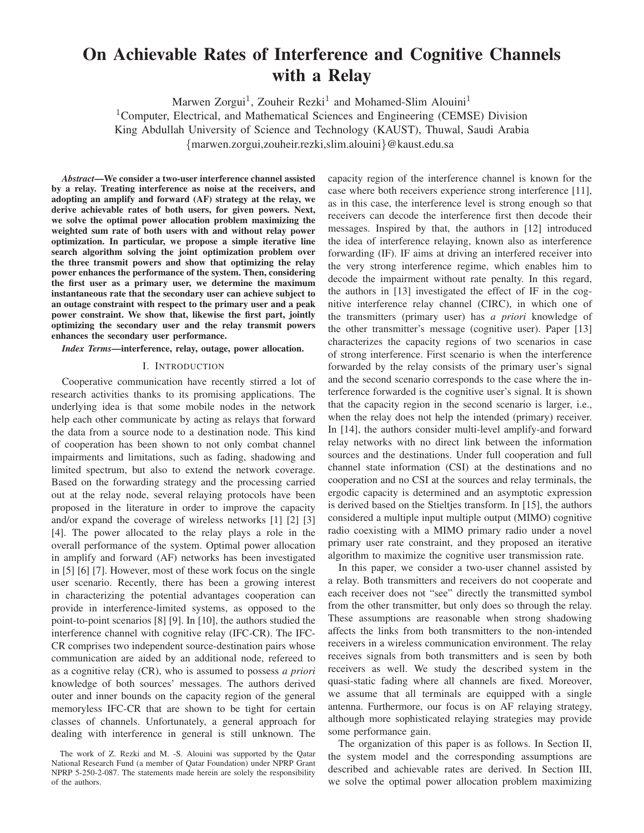# On Achievable Rates of Interference and Cognitive Channels with a Relay

Marwen Zorgui<sup>1</sup>, Zouheir Rezki<sup>1</sup> and Mohamed-Slim Alouini<sup>1</sup>

<sup>1</sup>Computer, Electrical, and Mathematical Sciences and Engineering (CEMSE) Division King Abdullah University of Science and Technology (KAUST), Thuwal, Saudi Arabia

{marwen.zorgui,zouheir.rezki,slim.alouini}@kaust.edu.sa

*Abstract*—We consider a two-user interference channel assisted by a relay. Treating interference as noise at the receivers, and adopting an amplify and forward (AF) strategy at the relay, we derive achievable rates of both users, for given powers. Next, we solve the optimal power allocation problem maximizing the weighted sum rate of both users with and without relay power optimization. In particular, we propose a simple iterative line search algorithm solving the joint optimization problem over the three transmit powers and show that optimizing the relay power enhances the performance of the system. Then, considering the first user as a primary user, we determine the maximum instantaneous rate that the secondary user can achieve subject to an outage constraint with respect to the primary user and a peak power constraint. We show that, likewise the first part, jointly optimizing the secondary user and the relay transmit powers enhances the secondary user performance.

*Index Terms*—interference, relay, outage, power allocation.

#### I. INTRODUCTION

Cooperative communication have recently stirred a lot of research activities thanks to its promising applications. The underlying idea is that some mobile nodes in the network help each other communicate by acting as relays that forward the data from a source node to a destination node. This kind of cooperation has been shown to not only combat channel impairments and limitations, such as fading, shadowing and limited spectrum, but also to extend the network coverage. Based on the forwarding strategy and the processing carried out at the relay node, several relaying protocols have been proposed in the literature in order to improve the capacity and/or expand the coverage of wireless networks [1] [2] [3] [4]. The power allocated to the relay plays a role in the overall performance of the system. Optimal power allocation in amplify and forward (AF) networks has been investigated in [5] [6] [7]. However, most of these work focus on the single user scenario. Recently, there has been a growing interest in characterizing the potential advantages cooperation can provide in interference-limited systems, as opposed to the point-to-point scenarios [8] [9]. In [10], the authors studied the interference channel with cognitive relay (IFC-CR). The IFC-CR comprises two independent source-destination pairs whose communication are aided by an additional node, refereed to as a cognitive relay (CR), who is assumed to possess *a priori* knowledge of both sources' messages. The authors derived outer and inner bounds on the capacity region of the general memoryless IFC-CR that are shown to be tight for certain classes of channels. Unfortunately, a general approach for dealing with interference in general is still unknown. The

capacity region of the interference channel is known for the case where both receivers experience strong interference [11], as in this case, the interference level is strong enough so that receivers can decode the interference first then decode their messages. Inspired by that, the authors in [12] introduced the idea of interference relaying, known also as interference forwarding (IF). IF aims at driving an interfered receiver into the very strong interference regime, which enables him to decode the impairment without rate penalty. In this regard, the authors in [13] investigated the effect of IF in the cognitive interference relay channel (CIRC), in which one of the transmitters (primary user) has *a priori* knowledge of the other transmitter's message (cognitive user). Paper [13] characterizes the capacity regions of two scenarios in case of strong interference. First scenario is when the interference forwarded by the relay consists of the primary user's signal and the second scenario corresponds to the case where the interference forwarded is the cognitive user's signal. It is shown that the capacity region in the second scenario is larger, i.e., when the relay does not help the intended (primary) receiver. In [14], the authors consider multi-level amplify-and forward relay networks with no direct link between the information sources and the destinations. Under full cooperation and full channel state information (CSI) at the destinations and no cooperation and no CSI at the sources and relay terminals, the ergodic capacity is determined and an asymptotic expression is derived based on the Stieltjes transform. In [15], the authors considered a multiple input multiple output (MIMO) cognitive radio coexisting with a MIMO primary radio under a novel primary user rate constraint, and they proposed an iterative algorithm to maximize the cognitive user transmission rate.

In this paper, we consider a two-user channel assisted by a relay. Both transmitters and receivers do not cooperate and each receiver does not "see" directly the transmitted symbol from the other transmitter, but only does so through the relay. These assumptions are reasonable when strong shadowing affects the links from both transmitters to the non-intended receivers in a wireless communication environment. The relay receives signals from both transmitters and is seen by both receivers as well. We study the described system in the quasi-static fading where all channels are fixed. Moreover, we assume that all terminals are equipped with a single antenna. Furthermore, our focus is on AF relaying strategy, although more sophisticated relaying strategies may provide some performance gain.

The organization of this paper is as follows. In Section II, the system model and the corresponding assumptions are described and achievable rates are derived. In Section III, we solve the optimal power allocation problem maximizing

The work of Z. Rezki and M. -S. Alouini was supported by the Qatar National Research Fund (a member of Qatar Foundation) under NPRP Grant NPRP 5-250-2-087. The statements made herein are solely the responsibility of the authors.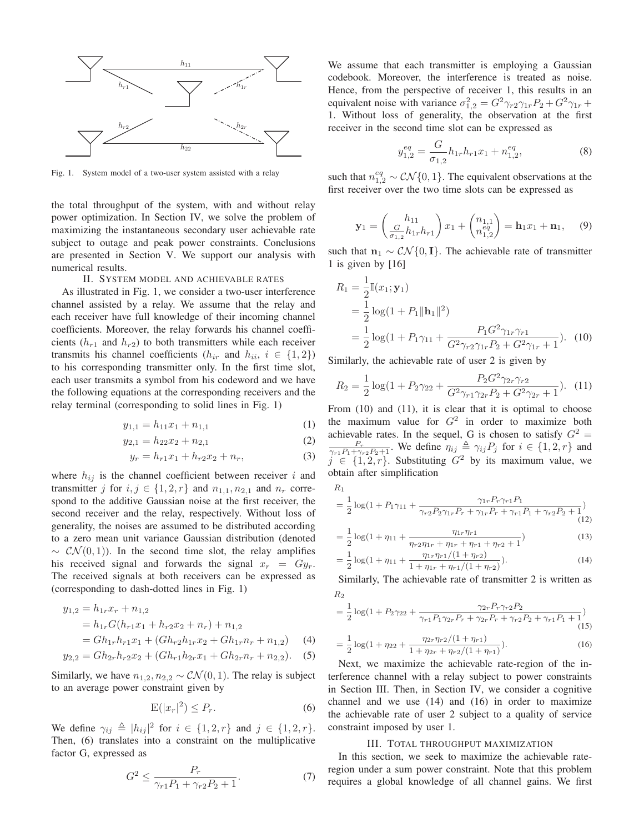

Fig. 1. System model of a two-user system assisted with a relay

the total throughput of the system, with and without relay power optimization. In Section IV, we solve the problem of maximizing the instantaneous secondary user achievable rate subject to outage and peak power constraints. Conclusions are presented in Section V. We support our analysis with numerical results.

# II. SYSTEM MODEL AND ACHIEVABLE RATES

As illustrated in Fig. 1, we consider a two-user interference channel assisted by a relay. We assume that the relay and each receiver have full knowledge of their incoming channel coefficients. Moreover, the relay forwards his channel coefficients ( $h_{r1}$  and  $h_{r2}$ ) to both transmitters while each receiver transmits his channel coefficients ( $h_{ir}$  and  $h_{ii}$ ,  $i \in \{1,2\}$ ) to his corresponding transmitter only. In the first time slot, each user transmits a symbol from his codeword and we have the following equations at the corresponding receivers and the relay terminal (corresponding to solid lines in Fig. 1)

$$
y_{1,1} = h_{11}x_1 + n_{1,1} \tag{1}
$$

$$
y_{2,1} = h_{22}x_2 + n_{2,1} \tag{2}
$$

$$
y_r = h_{r1}x_1 + h_{r2}x_2 + n_r,\tag{3}
$$

where  $h_{ij}$  is the channel coefficient between receiver i and transmitter j for  $i, j \in \{1, 2, r\}$  and  $n_{1,1}, n_{2,1}$  and  $n_r$  correspond to the additive Gaussian noise at the first receiver, the second receiver and the relay, respectively. Without loss of generality, the noises are assumed to be distributed according to a zero mean unit variance Gaussian distribution (denoted  $\sim \mathcal{CN}(0,1)$ ). In the second time slot, the relay amplifies his received signal and forwards the signal  $x_r = Gy_r$ . The received signals at both receivers can be expressed as (corresponding to dash-dotted lines in Fig. 1)

$$
y_{1,2} = h_{1r}x_r + n_{1,2}
$$
  
=  $h_{1r}G(h_{r1}x_1 + h_{r2}x_2 + n_r) + n_{1,2}$   
=  $Gh_{1r}h_{r1}x_1 + (Gh_{r2}h_{1r}x_2 + Gh_{1r}n_r + n_{1,2})$  (4)

$$
y_{2,2} = Gh_{2r}h_{r2}x_2 + (Gh_{r1}h_{2r}x_1 + Gh_{2r}n_r + n_{2,2}).
$$
 (5)

Similarly, we have  $n_{1,2}, n_{2,2} \sim \mathcal{CN}(0, 1)$ . The relay is subject to an average power constraint given by

$$
\mathbb{E}(|x_r|^2) \le P_r. \tag{6}
$$

We define  $\gamma_{ij} \triangleq |h_{ij}|^2$  for  $i \in \{1, 2, r\}$  and  $j \in \{1, 2, r\}$ .<br>Then (6) translates into a constraint on the multiplicative Then, (6) translates into a constraint on the multiplicative factor G, expressed as

$$
G^2 \le \frac{P_r}{\gamma_{r1} P_1 + \gamma_{r2} P_2 + 1}.
$$
 (7)

We assume that each transmitter is employing a Gaussian codebook. Moreover, the interference is treated as noise. Hence, from the perspective of receiver 1, this results in an equivalent noise with variance  $\sigma_{1,2}^2 = G^2 \gamma_{r2} \gamma_{1r} P_2 + G^2 \gamma_{1r} +$ <br>1. Without loss of generality, the observation at the first 1. Without loss of generality, the observation at the first receiver in the second time slot can be expressed as

$$
y_{1,2}^{eq} = \frac{G}{\sigma_{1,2}} h_{1r} h_{r1} x_1 + n_{1,2}^{eq}, \tag{8}
$$

such that  $n_{1,2}^{eq} \sim \mathcal{CN}\{0,1\}$ . The equivalent observations at the first receiver over the two time slots can be expressed as first receiver over the two time slots can be expressed as

$$
\mathbf{y}_1 = \begin{pmatrix} h_{11} \\ \frac{G}{\sigma_{1,2}} h_{1r} h_{r1} \end{pmatrix} x_1 + \begin{pmatrix} n_{1,1} \\ n_{1,2}^{eq} \end{pmatrix} = \mathbf{h}_1 x_1 + \mathbf{n}_1, \quad (9)
$$

such that  $\mathbf{n}_1 \sim \mathcal{CN}\{0, \mathbf{I}\}\$ . The achievable rate of transmitter 1 is given by [16]

$$
R_1 = \frac{1}{2} \mathbb{I}(x_1; \mathbf{y}_1)
$$
  
=  $\frac{1}{2} \log(1 + P_1 ||\mathbf{h}_1||^2)$   
=  $\frac{1}{2} \log(1 + P_1 \gamma_{11} + \frac{P_1 G^2 \gamma_{1r} \gamma_{r1}}{G^2 \gamma_{r2} \gamma_{1r} P_2 + G^2 \gamma_{1r} + 1}).$  (10)  
Similarly, the achievable rate of user 2 is given by

$$
R_2 = \frac{1}{2}\log(1 + P_2\gamma_{22} + \frac{P_2G^2\gamma_{2r}\gamma_{r2}}{G^2\gamma_{r1}\gamma_{2r}P_2 + G^2\gamma_{2r} + 1}).
$$
 (11)  
From (10) and (11), it is clear that it is optimal to choose

the maximum value for  $G<sup>2</sup>$  in order to maximize both achievable rates. In the sequel, G is chosen to satisfy  $G^2 =$  $\frac{P_r}{\gamma_{r1}P_1+\gamma_{r2}P_2+1}$ . We define  $\eta_{ij} \triangleq \gamma_{ij}P_j$  for  $i \in \{1,2,r\}$  and  $\gamma_{r1}P_1+\gamma_{r2}P_2+1$ . Substituting  $C^2$  by its maximum value we  $j \in \{1, 2, r\}$ . Substituting  $G^2$  by its maximum value, we obtain after simplification obtain after simplification

 $R_1$ 

$$
= \frac{1}{2}\log(1+P_1\gamma_{11}+\frac{\gamma_{1r}P_r\gamma_{r1}P_1}{\gamma_{r2}P_2\gamma_{1r}P_r+\gamma_{1r}P_r+\gamma_{r1}P_1+\gamma_{r2}P_2+1})
$$
\n(12)

$$
= \frac{1}{2}\log(1+\eta_{11}+\frac{\eta_{1r}\eta_{r1}}{\eta_{r2}\eta_{1r}+\eta_{1r}+\eta_{r1}+\eta_{r2}+1})
$$
(13)

$$
= \frac{1}{2}\log(1+\eta_{11}+\frac{\eta_{1r}\eta_{r1}/(1+\eta_{r2})}{1+\eta_{1r}+\eta_{r1}/(1+\eta_{r2})}).
$$
\nSimilarly, The achievable rate of transmitter 2 is written as

 $R<sub>2</sub>$ 

$$
= \frac{1}{2}\log(1+P_2\gamma_{22}+\frac{\gamma_{2r}P_r\gamma_{r2}P_2}{\gamma_{r1}P_1\gamma_{2r}P_r+\gamma_{2r}P_r+\gamma_{r2}P_2+\gamma_{r1}P_1+1})
$$
\n
$$
= \frac{\gamma_{2r}P_{r\gamma_{r2}}}{\gamma_{r1}P_1\gamma_{2r}P_{r2}}/(1+\eta_{r1})
$$

$$
= \frac{1}{2}\log(1+\eta_{22}+\frac{\eta_{2r}\eta_{r2}/(1+\eta_{r1})}{1+\eta_{2r}+\eta_{r2}/(1+\eta_{r1})}).
$$
\nNext, we maximize the achievable rate-region of the in-

terference channel with a relay subject to power constraints in Section III. Then, in Section IV, we consider a cognitive channel and we use (14) and (16) in order to maximize the achievable rate of user 2 subject to a quality of service constraint imposed by user 1.

#### III. TOTAL THROUGHPUT MAXIMIZATION

In this section, we seek to maximize the achievable rateregion under a sum power constraint. Note that this problem requires a global knowledge of all channel gains. We first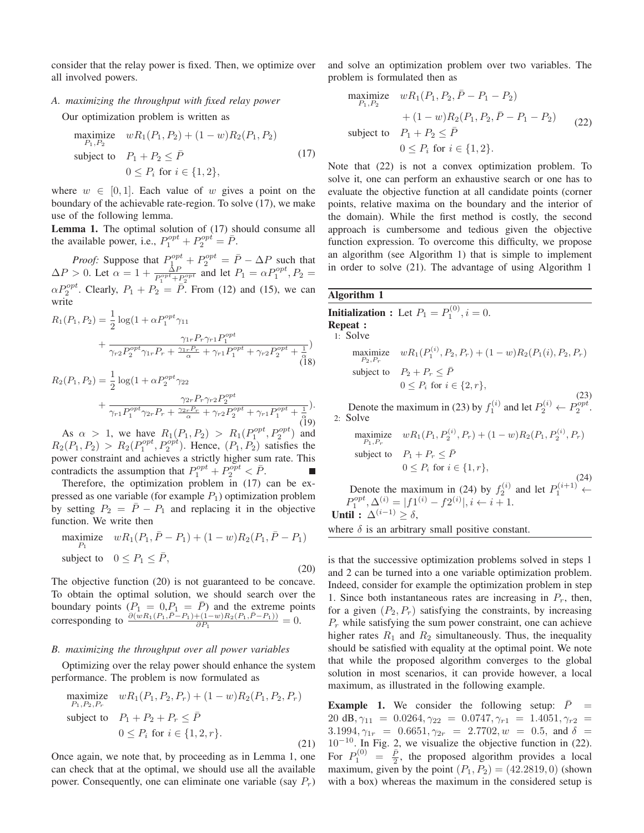consider that the relay power is fixed. Then, we optimize over all involved powers.

# *A. maximizing the throughput with fixed relay power*

Our optimization problem is written as

maximize 
$$
wR_1(P_1, P_2) + (1 - w)R_2(P_1, P_2)
$$
  
\nsubject to  $P_1 + P_2 \le \bar{P}$  (17)  
\n $0 \le P_i$  for  $i \in \{1, 2\}$ ,

where  $w \in [0, 1]$ . Each value of w gives a point on the boundary of the achievable rate-region. To solve (17), we make use of the following lemma.

Lemma 1. The optimal solution of (17) should consume all the available power, i.e.,  $P_1^{opt} + P_2^{opt} = \overline{P}$ .

*Proof:* Suppose that  $P_1^{opt} + P_2^{opt} = \overline{P} - \Delta P$  such that  $\geq 0$ . Let  $\alpha = 1 + \frac{\Delta P}{P}$  and let  $P_1 = \alpha P^{opt} - P_2$  $\Delta P > 0$ . Let  $\alpha = 1 + \frac{\Delta P}{P_1^{opt} + P_2^{opt}}$  and let  $P_1 = \alpha P_1^{opt}$ ,  $P_2 = \alpha P_2^{opt}$ . Clearly,  $P_1 + P_2 = \overline{P}$ . From (12) and (15), we can write

$$
R_1(P_1, P_2) = \frac{1}{2} \log(1 + \alpha P_1^{opt} \gamma_{11} + \frac{\gamma_{1r} P_r \gamma_{r1} P_1^{opt}}{\gamma_{r2} P_2^{opt} \gamma_{1r} P_r + \frac{\gamma_{1r} P_r}{\alpha} + \gamma_{r1} P_1^{opt} + \gamma_{r2} P_2^{opt} + \frac{1}{\alpha}})
$$
\n(18)

$$
R_2(P_1, P_2) = \frac{1}{2} \log(1 + \alpha P_2^{opt} \gamma_{22} + \frac{\gamma_{2r} P_r \gamma_{r2} P_2^{opt}}{\gamma_{r1} P_1^{opt} \gamma_{2r} P_r + \frac{\gamma_{2r} P_r}{\alpha} + \gamma_{r2} P_2^{opt} + \gamma_{r1} P_1^{opt} + \frac{1}{\alpha}}).
$$

As  $\alpha > 1$ , we have  $R_1(P_1, P_2) > R_1(P_1^{opt}, P_2^{opt})$  and  $R_2(P_1, P_2) > R_2(P_1^{opt}, P_2^{opt})$ . Hence,  $(P_1, P_2)$  satisfies the nower constraint and achieves a strictly bigher sum rate. This power constraint and achieves a strictly higher sum rate. This contradicts the assumption that  $P_1^{opt} + P_2^{opt} < \overline{P}$ .<br>Therefore, the optimization problem in (17)

Therefore, the optimization problem in (17) can be expressed as one variable (for example  $P_1$ ) optimization problem by setting  $P_2 = \overline{P} - P_1$  and replacing it in the objective function. We write then

maximize 
$$
wR_1(P_1, \bar{P} - P_1) + (1 - w)R_2(P_1, \bar{P} - P_1)
$$
  
subject to  $0 \le P_1 \le \bar{P}$ , (20)

The objective function (20) is not guaranteed to be concave. To obtain the optimal solution, we should search over the boundary points  $(P_1 = 0, P_1 = P)$  and the extreme points corresponding to  $\frac{\partial (wR_1(P_1, \bar{P} - P_1) + (1-w)R_2(P_1, \bar{P} - P_1))}{\partial P_1} = 0.$ 

### *B. maximizing the throughput over all power variables*

Optimizing over the relay power should enhance the system performance. The problem is now formulated as

maximize 
$$
wR_1(P_1, P_2, P_r) + (1 - w)R_2(P_1, P_2, P_r)
$$
  
\nsubject to  $P_1 + P_2 + P_r \le \bar{P}$   
\n $0 \le P_i$  for  $i \in \{1, 2, r\}$ . (21)

Once again, we note that, by proceeding as in Lemma 1, one can check that at the optimal, we should use all the available power. Consequently, one can eliminate one variable (say  $P_r$ ) and solve an optimization problem over two variables. The problem is formulated then as

$$
\begin{array}{ll}\n\text{maximize} & wR_1(P_1, P_2, \bar{P} - P_1 - P_2) \\
&+ (1 - w)R_2(P_1, P_2, \bar{P} - P_1 - P_2) \\
\text{subject to} & P_1 + P_2 \leq \bar{P} \\
&0 \leq P_i \text{ for } i \in \{1, 2\}.\n\end{array} \tag{22}
$$

Note that (22) is not a convex optimization problem. To solve it, one can perform an exhaustive search or one has to evaluate the objective function at all candidate points (corner points, relative maxima on the boundary and the interior of the domain). While the first method is costly, the second approach is cumbersome and tedious given the objective function expression. To overcome this difficulty, we propose an algorithm (see Algorithm 1) that is simple to implement in order to solve (21). The advantage of using Algorithm 1

# Algorithm 1

**Initialization :** Let  $P_1 = P_1^{(0)}$ ,  $i = 0$ .<br>**Repeat :** Repeat : 1: Solve maximize  $wR_1(P_1^{(i)}, P_2, P_r) + (1 - w)R_2(P_1(i), P_2, P_r)$ subject to  $P_2 + P_r \leq \overline{P}$  $0 \le P_i$  for  $i \in \{2, r\},\$ Denote the maximum in (23) by  $f_1^{(i)}$  and let  $P_2^{(i)} \leftarrow P_2^{opt}$ .<br>2: Solve

maximize  $wR_1(P_1, P_2^{(i)}, P_r) + (1 - w)R_2(P_1, P_2^{(i)}, P_r)$ 

subject to 
$$
P_1 + P_r \le \overline{P}
$$
  
  $0 \le P_i$  for  $i \in \{1, r\}$ , (24)

Denote the maximum in (24) by  $f_2^{(i)}$  and let  $P_1^{(i+1)} \leftarrow P_1^{opt}$ ,  $\Delta^{(i)} = |f_1^{(i)} - f_2^{(i)}|, i \leftarrow i+1$ . Until :  $\Delta^{(i-1)} > \delta$ ,

where  $\delta$  is an arbitrary small positive constant.

is that the successive optimization problems solved in steps 1 and 2 can be turned into a one variable optimization problem. Indeed, consider for example the optimization problem in step 1. Since both instantaneous rates are increasing in  $P_r$ , then, for a given  $(P_2, P_r)$  satisfying the constraints, by increasing  $P_r$  while satisfying the sum power constraint, one can achieve higher rates  $R_1$  and  $R_2$  simultaneously. Thus, the inequality should be satisfied with equality at the optimal point. We note that while the proposed algorithm converges to the global solution in most scenarios, it can provide however, a local maximum, as illustrated in the following example.

**Example 1.** We consider the following setup:  $\overline{P}$  = 20 dB,  $\gamma_{11} = 0.0264, \gamma_{22} = 0.0747, \gamma_{r1} = 1.4051, \gamma_{r2} =$ 3.1994,  $\gamma_{1r}$  = 0.6651,  $\gamma_{2r}$  = 2.7702,  $w = 0.5$ , and  $\delta$  =  $10^{-10}$ . In Fig. 2, we visualize the objective function in (22).<br>For  $P^{(0)} = \frac{\bar{P}}{A}$  the proposed algorithm provides a local For  $P_1^{(0)} = \frac{\bar{P}}{2}$ , the proposed algorithm provides a local<br>maximum given by the point  $(P, P_2) - (42.2810, 0)$  (shown maximum, given by the point  $(P_1, P_2) = (42.2819, 0)$  (shown with a box) whereas the maximum in the considered setup is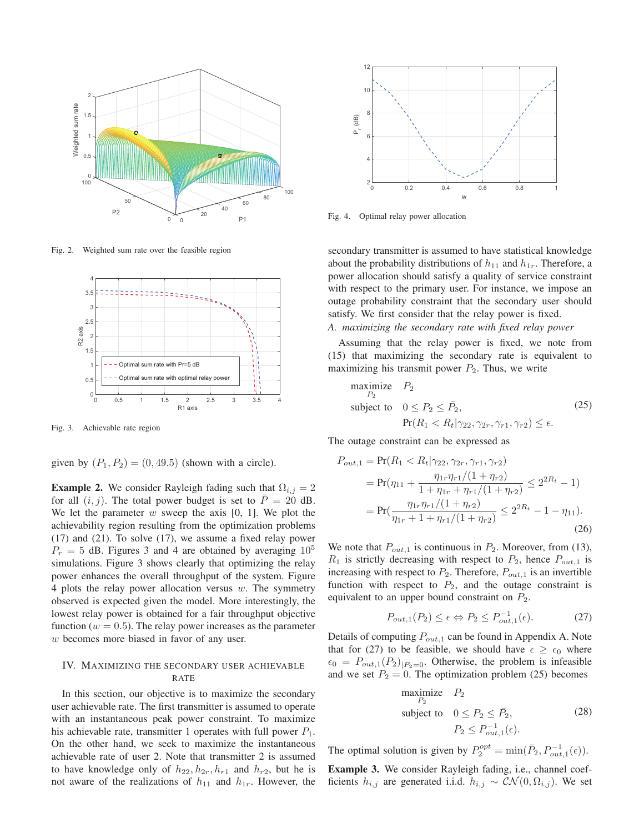

Fig. 2. Weighted sum rate over the feasible region



Fig. 3. Achievable rate region

given by  $(P_1, P_2) = (0, 49.5)$  (shown with a circle).

**Example 2.** We consider Rayleigh fading such that  $\Omega_{i,j} = 2$ for all  $(i, j)$ . The total power budget is set to  $\overline{P} = 20$  dB. We let the parameter  $w$  sweep the axis [0, 1]. We plot the achievability region resulting from the optimization problems (17) and (21). To solve (17), we assume a fixed relay power  $P_r = 5$  dB. Figures 3 and 4 are obtained by averaging  $10^5$ simulations. Figure 3 shows clearly that optimizing the relay power enhances the overall throughput of the system. Figure 4 plots the relay power allocation versus  $w$ . The symmetry observed is expected given the model. More interestingly, the lowest relay power is obtained for a fair throughput objective function ( $w = 0.5$ ). The relay power increases as the parameter w becomes more biased in favor of any user.

# IV. MAXIMIZING THE SECONDARY USER ACHIEVABLE RATE

In this section, our objective is to maximize the secondary user achievable rate. The first transmitter is assumed to operate with an instantaneous peak power constraint. To maximize his achievable rate, transmitter 1 operates with full power  $P_1$ . On the other hand, we seek to maximize the instantaneous achievable rate of user 2. Note that transmitter 2 is assumed to have knowledge only of  $h_{22}$ ,  $h_{2r}$ ,  $h_{r1}$  and  $h_{r2}$ , but he is not aware of the realizations of  $h_{11}$  and  $h_{1r}$ . However, the



Fig. 4. Optimal relay power allocation

secondary transmitter is assumed to have statistical knowledge about the probability distributions of  $h_{11}$  and  $h_{1r}$ . Therefore, a power allocation should satisfy a quality of service constraint with respect to the primary user. For instance, we impose an outage probability constraint that the secondary user should satisfy. We first consider that the relay power is fixed.

*A. maximizing the secondary rate with fixed relay power*

Assuming that the relay power is fixed, we note from (15) that maximizing the secondary rate is equivalent to maximizing his transmit power  $P_2$ . Thus, we write

maximize 
$$
P_2
$$
  
\nsubject to  $0 \le P_2 \le \bar{P}_2$ ,  
\n
$$
Pr(R_1 < R_t | \gamma_{22}, \gamma_{2r}, \gamma_{r1}, \gamma_{r2}) \le \epsilon.
$$
\n(25)

The outage constraint can be expressed as

$$
P_{out,1} = \Pr(R_1 < R_t | \gamma_{22}, \gamma_{2r}, \gamma_{r1}, \gamma_{r2})
$$
\n
$$
= \Pr(\eta_{11} + \frac{\eta_{1r}\eta_{r1}/(1 + \eta_{r2})}{1 + \eta_{1r} + \eta_{r1}/(1 + \eta_{r2})} \le 2^{2R_t} - 1)
$$
\n
$$
= \Pr(\frac{\eta_{1r}\eta_{r1}/(1 + \eta_{r2})}{\eta_{1r} + 1 + \eta_{r1}/(1 + \eta_{r2})} \le 2^{2R_t} - 1 - \eta_{11}).
$$
\n(26)

We note that  $P_{out,1}$  is continuous in  $P_2$ . Moreover, from (13),  $R_1$  is strictly decreasing with respect to  $P_2$ , hence  $P_{out,1}$  is increasing with respect to  $P_2$ . Therefore,  $P_{out,1}$  is an invertible function with respect to  $P_2$ , and the outage constraint is equivalent to an upper bound constraint on  $P_2$ .

$$
P_{out,1}(P_2) \le \epsilon \Leftrightarrow P_2 \le P_{out,1}^{-1}(\epsilon). \tag{27}
$$

Details of computing  $P_{out,1}$  can be found in Appendix A. Note that for (27) to be feasible, we should have  $\epsilon \geq \epsilon_0$  where  $\epsilon_0 = P_{out,1}(P_2)|_{P_2=0}$ . Otherwise, the problem is infeasible and we set  $P_2 = 0$ . The optimization problem (25) becomes

maximize 
$$
P_2
$$
  
\nsubject to  $0 \le P_2 \le \bar{P}_2$ ,  
\n $P_2 \le P_{out,1}^{-1}(\epsilon)$ . (28)

The optimal solution is given by  $P_2^{opt} = \min(\bar{P}_2, P_{out,1}^{-1}(\epsilon)).$ 

Example 3. We consider Rayleigh fading, i.e., channel coefficients  $h_{i,j}$  are generated i.i.d.  $h_{i,j} \sim \mathcal{CN}(0, \Omega_{i,j})$ . We set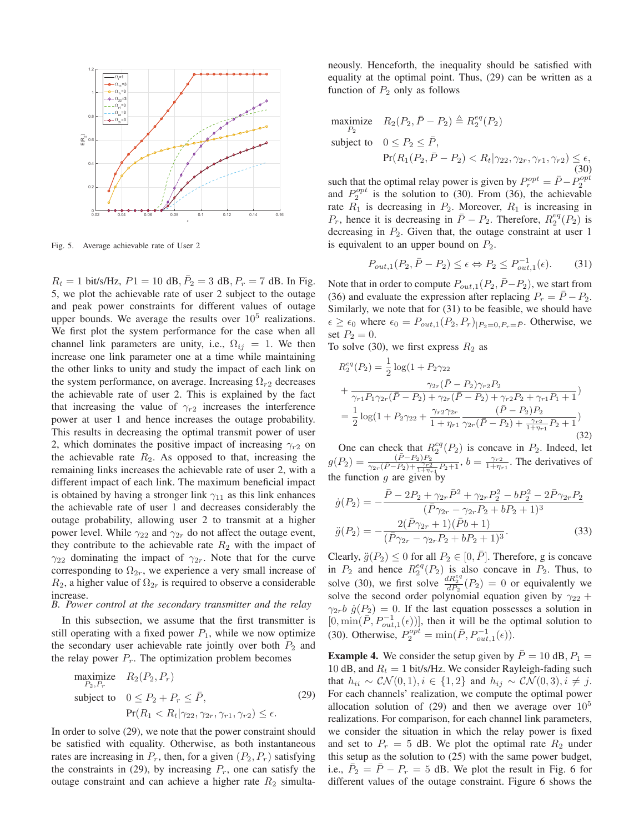

Fig. 5. Average achievable rate of User 2

 $R_t = 1$  bit/s/Hz,  $P1 = 10$  dB,  $P_2 = 3$  dB,  $P_r = 7$  dB. In Fig. 5, we plot the achievable rate of user 2 subject to the outage and peak power constraints for different values of outage upper bounds. We average the results over  $10^5$  realizations. We first plot the system performance for the case when all channel link parameters are unity, i.e.,  $\Omega_{ij} = 1$ . We then increase one link parameter one at a time while maintaining the other links to unity and study the impact of each link on the system performance, on average. Increasing  $\Omega_{r2}$  decreases the achievable rate of user 2. This is explained by the fact that increasing the value of  $\gamma_{r2}$  increases the interference power at user 1 and hence increases the outage probability. This results in decreasing the optimal transmit power of user 2, which dominates the positive impact of increasing  $\gamma_{r2}$  on the achievable rate  $R_2$ . As opposed to that, increasing the remaining links increases the achievable rate of user 2, with a different impact of each link. The maximum beneficial impact is obtained by having a stronger link  $\gamma_{11}$  as this link enhances the achievable rate of user 1 and decreases considerably the outage probability, allowing user 2 to transmit at a higher power level. While  $\gamma_{22}$  and  $\gamma_{2r}$  do not affect the outage event, they contribute to the achievable rate  $R_2$  with the impact of  $\gamma_{22}$  dominating the impact of  $\gamma_{2r}$ . Note that for the curve corresponding to  $\Omega_{2r}$ , we experience a very small increase of  $R_2$ , a higher value of  $\Omega_{2r}$  is required to observe a considerable increase.

# *B. Power control at the secondary transmitter and the relay*

In this subsection, we assume that the first transmitter is still operating with a fixed power  $P_1$ , while we now optimize the secondary user achievable rate jointly over both  $P_2$  and the relay power  $P_r$ . The optimization problem becomes

maximize 
$$
R_2(P_2, P_r)
$$
  
\nsubject to  $0 \le P_2 + P_r \le \bar{P}$ , (29)  
\n
$$
Pr(R_1 < R_t | \gamma_{22}, \gamma_{2r}, \gamma_{r1}, \gamma_{r2}) \le \epsilon.
$$

In order to solve (29), we note that the power constraint should be satisfied with equality. Otherwise, as both instantaneous rates are increasing in  $P_r$ , then, for a given  $(P_2, P_r)$  satisfying the constraints in (29), by increasing  $P_r$ , one can satisfy the outage constraint and can achieve a higher rate  $R_2$  simultaneously. Henceforth, the inequality should be satisfied with equality at the optimal point. Thus, (29) can be written as a function of  $P_2$  only as follows

$$
\begin{array}{ll}\text{maximize} & R_2(P_2, \bar{P} - P_2) \triangleq R_2^{eq}(P_2) \\ \text{subject to} & 0 \le P_2 \le \bar{P}, \\ & \qquad \qquad \Pr(R_1(P_2, \bar{P} - P_2) < R_t | \gamma_{22}, \gamma_{2r}, \gamma_{r1}, \gamma_{r2}) \le \epsilon, \\ & \qquad \qquad (30) \\ \text{such that the optimal relay power is given by } P_r^{opt} = \bar{P} - P_2^{opt} \end{array}
$$

such that the optimal relay power is given by  $P_r^{opt} = \bar{P} - P_2^{opt}$ <br>and  $P_2^{opt}$  is the solution to (30). From (36), the achievable<br>rate  $R_2$  is decreasing in  $P_2$ . Moreover,  $R_3$  is increasing in rate  $R_1$  is decreasing in  $P_2$ . Moreover,  $R_1$  is increasing in  $P_r$ , hence it is decreasing in  $\overline{P} - P_2$ . Therefore,  $R_2^{eq}(P_2)$  is decreasing in  $P_2$ . Given that the outage constraint at user 1 decreasing in  $P_2$ . Given that, the outage constraint at user 1 is equivalent to an upper bound on  $P_2$ .

$$
P_{out,1}(P_2, \bar{P} - P_2) \le \epsilon \Leftrightarrow P_2 \le P_{out,1}^{-1}(\epsilon). \tag{31}
$$

Note that in order to compute  $P_{out,1}(P_2, \bar{P}-P_2)$ , we start from (36) and evaluate the expression after replacing  $P_r = \bar{P} - P_2$ . Similarly, we note that for (31) to be feasible, we should have  $\epsilon \geq \epsilon_0$  where  $\epsilon_0 = P_{out,1}(P_2, P_r)_{|P_2=0, P_r=\bar{P}}$ . Otherwise, we set  $P_2 = 0$ .

To solve (30), we first express  $R_2$  as

$$
R_2^{eq}(P_2) = \frac{1}{2}\log(1 + P_2\gamma_{22}
$$
  
+ 
$$
\frac{\gamma_{2r}(\bar{P} - P_2)\gamma_{r2}P_2}{\gamma_{r1}P_1\gamma_{2r}(\bar{P} - P_2) + \gamma_{2r}(\bar{P} - P_2) + \gamma_{r2}P_2 + \gamma_{r1}P_1 + 1}
$$
  
= 
$$
\frac{1}{2}\log(1 + P_2\gamma_{22} + \frac{\gamma_{r2}\gamma_{2r}}{1 + \eta_{r1}}\frac{(\bar{P} - P_2)P_2}{\gamma_{2r}(\bar{P} - P_2) + \frac{\gamma_{r2}}{1 + \eta_{r1}}P_2 + 1})
$$
(32)

One can check that  $R_2^{eq}(P_2)$  is concave in  $P_2$ . Indeed, let  $g(P_2) = \frac{(\bar{P}-P_2)P_2}{\gamma_{2r}(\bar{P}-P_2)+\frac{\gamma_{r2}}{1+\eta_{r1}}P_2+1}$ ,  $b = \frac{\gamma_{r2}}{1+\eta_{r1}}$ . The derivatives of the function  $g$  are given by

$$
\dot{g}(P_2) = -\frac{\bar{P} - 2P_2 + \gamma_{2r}\bar{P}^2 + \gamma_{2r}P_2^2 - bP_2^2 - 2\bar{P}\gamma_{2r}P_2}{(\bar{P}\gamma_{2r} - \gamma_{2r}P_2 + bP_2 + 1)^3}
$$

$$
\ddot{g}(P_2) = -\frac{2(\bar{P}\gamma_{2r} + 1)(\bar{P}b + 1)}{(\bar{P}\gamma_{2r} - \gamma_{2r}P_2 + bP_2 + 1)^3}.
$$
(33)

Clearly,  $\ddot{g}(P_2) \le 0$  for all  $P_2 \in [0, \overline{P}]$ . Therefore, g is concave in  $P_2$  and hence  $R_2^{eq}(P_2)$  is also concave in  $P_2$ . Thus, to solve (30), we first solve  $\frac{dR_2^{eq}}{dP_2}(P_2) = 0$  or equivalently we solve the second order polynomial equation given by  $\infty \rightarrow$ solve the second order polynomial equation given by  $\gamma_{22}$  +  $\gamma_{2r}b \dot{g}(P_2)=0$ . If the last equation possesses a solution in [0, min( $\overline{P}$ ,  $P_{out,1}^{-1}(\epsilon)$ ], then it will be the optimal solution to (30). Otherwise  $P^{opt} = \min(\overline{P}, P^{-1}(\epsilon))$ (30). Otherwise,  $P_2^{opt} = \min(\bar{P}, P_{out,1}^{-1}(\epsilon)).$ 

**Example 4.** We consider the setup given by  $\overline{P} = 10$  dB,  $P_1 =$ 10 dB, and  $R_t = 1$  bit/s/Hz. We consider Rayleigh-fading such that  $h_{ii} \sim \mathcal{CN}(0, 1), i \in \{1, 2\}$  and  $h_{ij} \sim \mathcal{CN}(0, 3), i \neq j$ . For each channels' realization, we compute the optimal power allocation solution of (29) and then we average over  $10<sup>5</sup>$ realizations. For comparison, for each channel link parameters, we consider the situation in which the relay power is fixed and set to  $P_r = 5$  dB. We plot the optimal rate  $R_2$  under this setup as the solution to (25) with the same power budget, i.e.,  $\overline{P}_2 = \overline{P} - P_r = 5$  dB. We plot the result in Fig. 6 for different values of the outage constraint. Figure 6 shows the